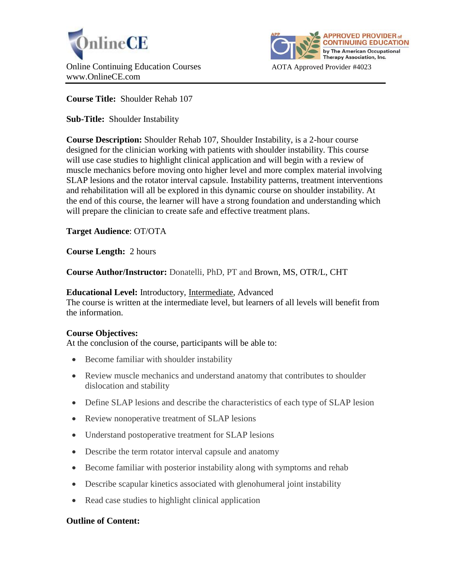



**Course Title:** Shoulder Rehab 107

**Sub-Title:** Shoulder Instability

**Course Description:** Shoulder Rehab 107, Shoulder Instability, is a 2-hour course designed for the clinician working with patients with shoulder instability. This course will use case studies to highlight clinical application and will begin with a review of muscle mechanics before moving onto higher level and more complex material involving SLAP lesions and the rotator interval capsule. Instability patterns, treatment interventions and rehabilitation will all be explored in this dynamic course on shoulder instability. At the end of this course, the learner will have a strong foundation and understanding which will prepare the clinician to create safe and effective treatment plans.

**Target Audience**: OT/OTA

**Course Length:** 2 hours

**Course Author/Instructor:** Donatelli, PhD, PT and Brown, MS, OTR/L, CHT

### **Educational Level:** Introductory, Intermediate, Advanced

The course is written at the intermediate level, but learners of all levels will benefit from the information.

# **Course Objectives:**

At the conclusion of the course, participants will be able to:

- Become familiar with shoulder instability
- Review muscle mechanics and understand anatomy that contributes to shoulder dislocation and stability
- Define SLAP lesions and describe the characteristics of each type of SLAP lesion
- Review nonoperative treatment of SLAP lesions
- Understand postoperative treatment for SLAP lesions
- Describe the term rotator interval capsule and anatomy
- Become familiar with posterior instability along with symptoms and rehab
- Describe scapular kinetics associated with glenohumeral joint instability
- Read case studies to highlight clinical application

# **Outline of Content:**